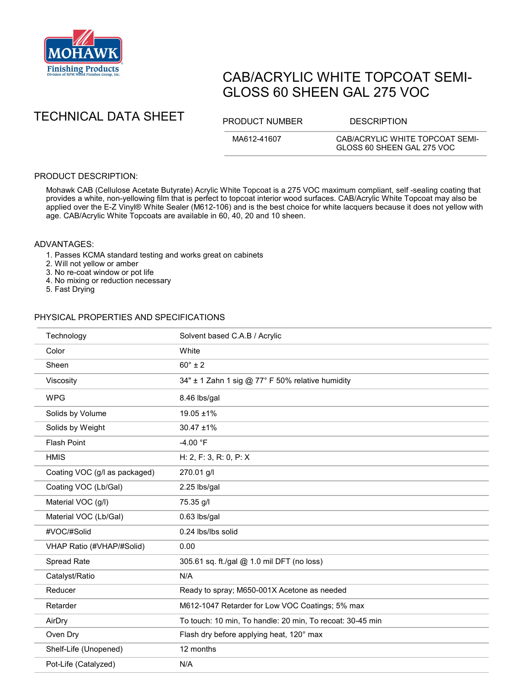

# CAB/ACRYLIC WHITE TOPCOAT SEMI-GLOSS 60 SHEEN GAL 275 VOC

TECHNICAL DATA SHEET PRODUCT NUMBER DESCRIPTION

MA612-41607 CAB/ACRYLIC WHITE TOPCOAT SEMI-GLOSS 60 SHEEN GAL 275 VOC

## PRODUCT DESCRIPTION:

Mohawk CAB (Cellulose Acetate Butyrate) Acrylic White Topcoat is a 275 VOC maximum compliant, self -sealing coating that provides a white, non-yellowing film that is perfect to topcoat interior wood surfaces. CAB/Acrylic White Topcoat may also be applied over the E-Z Vinyl® White Sealer (M612-106) and is the best choice for white lacquers because it does not yellow with age. CAB/Acrylic White Topcoats are available in 60, 40, 20 and 10 sheen.

### ADVANTAGES:

- 1. Passes KCMA standard testing and works great on cabinets
- 2. Will not yellow or amber
- 3. No re-coat window or pot life
- 4. No mixing or reduction necessary
- 5. Fast Drying

#### PHYSICAL PROPERTIES AND SPECIFICATIONS

| Technology                    | Solvent based C.A.B / Acrylic                             |
|-------------------------------|-----------------------------------------------------------|
| Color                         | White                                                     |
| Sheen                         | $60^\circ \pm 2$                                          |
| Viscosity                     | 34" ± 1 Zahn 1 sig @ 77° F 50% relative humidity          |
| <b>WPG</b>                    | 8.46 lbs/gal                                              |
| Solids by Volume              | $19.05 \pm 1\%$                                           |
| Solids by Weight              | $30.47 \pm 1\%$                                           |
| <b>Flash Point</b>            | $-4.00 °F$                                                |
| <b>HMIS</b>                   | H: 2, F: 3, R: 0, P: X                                    |
| Coating VOC (g/l as packaged) | 270.01 g/l                                                |
| Coating VOC (Lb/Gal)          | 2.25 lbs/gal                                              |
| Material VOC (g/l)            | 75.35 g/l                                                 |
| Material VOC (Lb/Gal)         | 0.63 lbs/gal                                              |
| #VOC/#Solid                   | 0.24 lbs/lbs solid                                        |
| VHAP Ratio (#VHAP/#Solid)     | 0.00                                                      |
| Spread Rate                   | 305.61 sq. ft./gal @ 1.0 mil DFT (no loss)                |
| Catalyst/Ratio                | N/A                                                       |
| Reducer                       | Ready to spray; M650-001X Acetone as needed               |
| Retarder                      | M612-1047 Retarder for Low VOC Coatings; 5% max           |
| AirDry                        | To touch: 10 min, To handle: 20 min, To recoat: 30-45 min |
| Oven Dry                      | Flash dry before applying heat, 120° max                  |
| Shelf-Life (Unopened)         | 12 months                                                 |
| Pot-Life (Catalyzed)          | N/A                                                       |